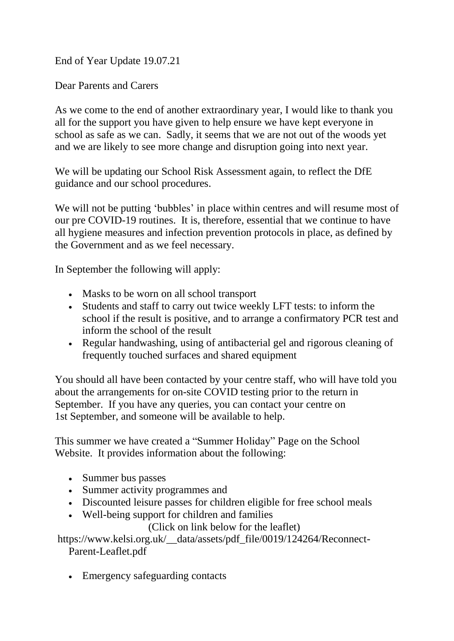End of Year Update 19.07.21

Dear Parents and Carers

As we come to the end of another extraordinary year, I would like to thank you all for the support you have given to help ensure we have kept everyone in school as safe as we can. Sadly, it seems that we are not out of the woods yet and we are likely to see more change and disruption going into next year.

We will be updating our School Risk Assessment again, to reflect the DfE guidance and our school procedures.

We will not be putting 'bubbles' in place within centres and will resume most of our pre COVID-19 routines. It is, therefore, essential that we continue to have all hygiene measures and infection prevention protocols in place, as defined by the Government and as we feel necessary.

In September the following will apply:

- Masks to be worn on all school transport
- Students and staff to carry out twice weekly LFT tests: to inform the school if the result is positive, and to arrange a confirmatory PCR test and inform the school of the result
- Regular handwashing, using of antibacterial gel and rigorous cleaning of frequently touched surfaces and shared equipment

You should all have been contacted by your centre staff, who will have told you about the arrangements for on-site COVID testing prior to the return in September. If you have any queries, you can contact your centre on 1st September, and someone will be available to help.

This summer we have created a "Summer Holiday" Page on the School Website. It provides information about the following:

- Summer bus passes
- Summer activity programmes and
- Discounted leisure passes for children eligible for free school meals
- Well-being support for children and families

(Click on link below for the leaflet)

[https://www.kelsi.org.uk/\\_\\_data/assets/pdf\\_file/0019/124264/Reconnect-](https://www.kelsi.org.uk/__data/assets/pdf_file/0019/124264/Reconnect-Parent-Leaflet.pdf)[Parent-Leaflet.pdf](https://www.kelsi.org.uk/__data/assets/pdf_file/0019/124264/Reconnect-Parent-Leaflet.pdf) 

• Emergency safeguarding contacts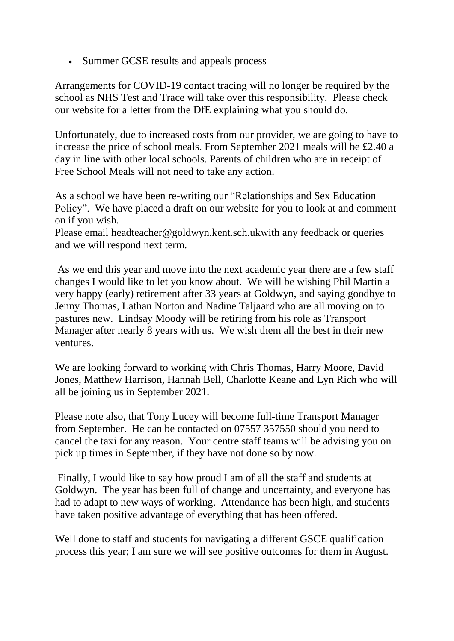• Summer GCSE results and appeals process

Arrangements for COVID-19 contact tracing will no longer be required by the school as NHS Test and Trace will take over this responsibility. Please check our website for a letter from the DfE explaining what you should do.

Unfortunately, due to increased costs from our provider, we are going to have to increase the price of school meals. From September 2021 meals will be £2.40 a day in line with other local schools. Parents of children who are in receipt of Free School Meals will not need to take any action.

As a school we have been re-writing our "Relationships and Sex Education Policy". We have placed a draft on our website for you to look at and comment on if you wish.

Please email [headteacher@goldwyn.kent.sch.ukw](mailto:headteacher@goldwyn.kent.sch.uk)ith any feedback or queries and we will respond next term.

As we end this year and move into the next academic year there are a few staff changes I would like to let you know about. We will be wishing Phil Martin a very happy (early) retirement after 33 years at Goldwyn, and saying goodbye to Jenny Thomas, Lathan Norton and Nadine Taljaard who are all moving on to pastures new. Lindsay Moody will be retiring from his role as Transport Manager after nearly 8 years with us. We wish them all the best in their new ventures.

We are looking forward to working with Chris Thomas, Harry Moore, David Jones, Matthew Harrison, Hannah Bell, Charlotte Keane and Lyn Rich who will all be joining us in September 2021.

Please note also, that Tony Lucey will become full-time Transport Manager from September. He can be contacted on 07557 357550 should you need to cancel the taxi for any reason. Your centre staff teams will be advising you on pick up times in September, if they have not done so by now.

Finally, I would like to say how proud I am of all the staff and students at Goldwyn. The year has been full of change and uncertainty, and everyone has had to adapt to new ways of working. Attendance has been high, and students have taken positive advantage of everything that has been offered.

Well done to staff and students for navigating a different GSCE qualification process this year; I am sure we will see positive outcomes for them in August.